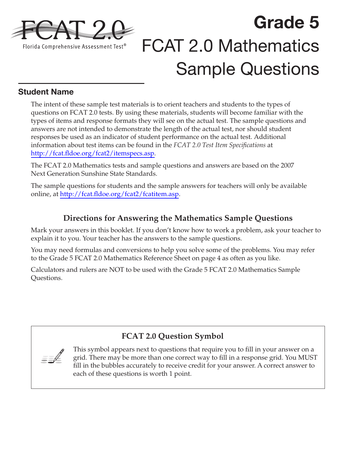

# **Grade 5**  FCAT 2.0 Mathematics Sample Questions

### **Student Name**

The intent of these sample test materials is to orient teachers and students to the types of questions on FCAT 2.0 tests. By using these materials, students will become familiar with the types of items and response formats they will see on the actual test. The sample questions and answers are not intended to demonstrate the length of the actual test, nor should student responses be used as an indicator of student performance on the actual test. Additional information about test items can be found in the *FCAT 2.0 Test Item Specifications* at [http://fcat.fldoe.org/fcat2/itemspecs.asp.](http://fcat.fldoe.org/fcat2/itemspecs.asp)

The FCAT 2.0 Mathematics tests and sample questions and answers are based on the 2007 Next Generation Sunshine State Standards.

The sample questions for students and the sample answers for teachers will only be available online, at [http://fcat.fldoe.org/fcat2/fcatitem.asp.](http://fcat.fldoe.org/fcat2/fcatitem.asp)

## **Directions for Answering the Mathematics Sample Questions**

Mark your answers in this booklet. If you don't know how to work a problem, ask your teacher to explain it to you. Your teacher has the answers to the sample questions.

You may need formulas and conversions to help you solve some of the problems. You may refer to the Grade 5 FCAT 2.0 Mathematics Reference Sheet on [page 4](#page-3-0) as often as you like.

Calculators and rulers are NOT to be used with the Grade 5 FCAT 2.0 Mathematics Sample Questions.

## **FCAT 2.0 Question Symbol**

 $\equiv \sqrt{\frac{1}{2}}$ 

This symbol appears next to questions that require you to fill in your answer on a grid. There may be more than one correct way to fill in a response grid. You MUST fill in the bubbles accurately to receive credit for your answer. A correct answer to each of these questions is worth 1 point.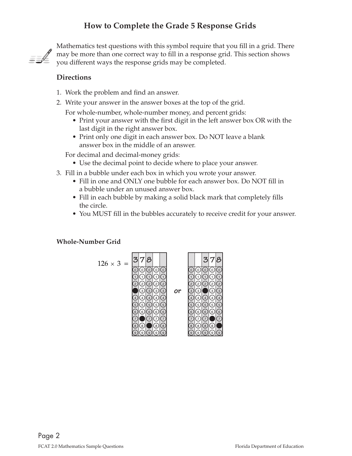## **How to Complete the Grade 5 Response Grids**



Mathematics test questions with this symbol require that you fill in a grid. There may be more than one correct way to fill in a response grid. This section shows you different ways the response grids may be completed.

#### **Directions**

- 1. Work the problem and find an answer.
- 2. Write your answer in the answer boxes at the top of the grid.
	- For whole-number, whole-number money, and percent grids:
		- Print your answer with the first digit in the left answer box OR with the last digit in the right answer box.
		- Print only one digit in each answer box. Do NOT leave a blank answer box in the middle of an answer.

For decimal and decimal-money grids:

- Use the decimal point to decide where to place your answer.
- 3. Fill in a bubble under each box in which you wrote your answer.
	- Fill in one and ONLY one bubble for each answer box. Do NOT fill in a bubble under an unused answer box.
	- Fill in each bubble by making a solid black mark that completely fills the circle.
	- You MUST fill in the bubbles accurately to receive credit for your answer.

#### **Whole-Number Grid**

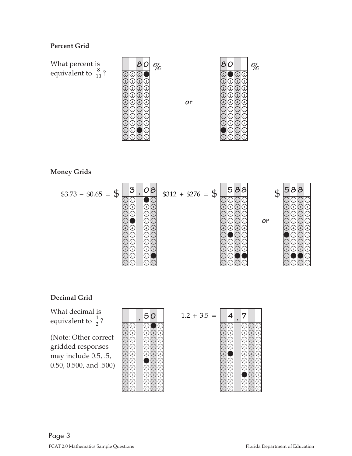#### **Percent Grid**

What percent is equivalent to  $\frac{8}{10}$ ?



**or**



#### **Money Grids**



#### **Decimal Grid**

What decimal is 1 2. <sup>+</sup> 3 5. <sup>=</sup> equivalent to 1 ? <sup>2</sup>

(Note: Other correct gridded responses may include 0.5, .5, 0.50, 0.500, and .500)



$$
1.2 + 3.5 = 4.7
$$
\n
$$
0.000
$$
\n
$$
0.000
$$
\n
$$
0.000
$$
\n
$$
0.000
$$
\n
$$
0.000
$$
\n
$$
0.000
$$
\n
$$
0.000
$$
\n
$$
0.000
$$
\n
$$
0.000
$$
\n
$$
0.000
$$
\n
$$
0.000
$$
\n
$$
0.000
$$
\n
$$
0.000
$$
\n
$$
0.000
$$
\n
$$
0.000
$$
\n
$$
0.000
$$

 $\circledcirc$  $\circledcirc$  $\circledcirc$ 

 $\odot$  $\circledS$  $\circledcirc$   $\bullet$  $\circledS$  $\circledcirc$ 

 $\odot$  $\circledS$  $\circledcirc$ 

 $\overline{\circlearrowright}$  $\odot$  $\circledcirc$  $\odot$  $\circledcirc$  $\circledcirc$  $\circledcirc$  $\odot$  $\circledcirc$  $\circledcirc$ 

7

7 8 9

9

9

9

9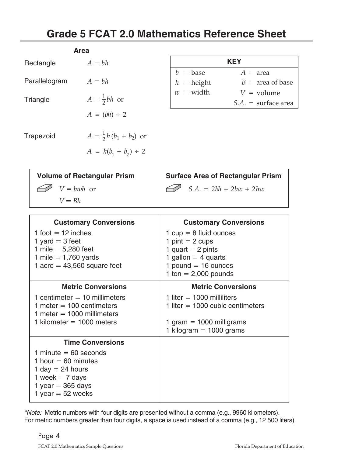## **Grade 5 FCAT 2.0 Mathematics Reference Sheet**

<span id="page-3-0"></span>

|                                    | <b>Area</b>                      |                                                                                                           |                                          |  |
|------------------------------------|----------------------------------|-----------------------------------------------------------------------------------------------------------|------------------------------------------|--|
| Rectangle                          | $A = bh$                         |                                                                                                           | <b>KEY</b>                               |  |
|                                    |                                  | $\overline{v}$ = base<br>$h$ = height<br>$\begin{cases} w = \text{width} \\ w = \text{width} \end{cases}$ | $A = \text{area}$                        |  |
| Parallelogram                      | $A = bh$                         |                                                                                                           | $B = \text{area of base}$                |  |
|                                    |                                  |                                                                                                           | $V =$ volume                             |  |
| Triangle                           | $A=\frac{1}{2}bh$ or             |                                                                                                           | $S.A.$ = surface area                    |  |
|                                    | $A = (bh) \div 2$                |                                                                                                           |                                          |  |
| Trapezoid                          | $A = \frac{1}{2}h(b_1 + b_2)$ or |                                                                                                           |                                          |  |
|                                    | $A = h(b_1 + b_2) \div 2$        |                                                                                                           |                                          |  |
| <b>Volume of Rectangular Prism</b> |                                  |                                                                                                           | <b>Surface Area of Rectangular Prism</b> |  |

| <b>Volume of Rectangular Prism</b> |              | <b>Surface Area of Rectangular Prism</b> |                          |  |
|------------------------------------|--------------|------------------------------------------|--------------------------|--|
|                                    | $V = bwh$ or |                                          | $S.A. = 2bh + 2bw + 2hw$ |  |
|                                    | $V = Bh$     |                                          |                          |  |

| <b>Customary Conversions</b>                                                                                                              | <b>Customary Conversions</b>                                                                                                                     |
|-------------------------------------------------------------------------------------------------------------------------------------------|--------------------------------------------------------------------------------------------------------------------------------------------------|
| 1 foot $=$ 12 inches<br>1 yard $=$ 3 feet<br>1 mile = $5,280$ feet<br>1 mile $= 1,760$ yards<br>1 acre = $43,560$ square feet             | 1 $cup = 8$ fluid ounces<br>1 pint $= 2$ cups<br>1 quart $= 2$ pints<br>1 gallon $=$ 4 quarts<br>1 pound $=$ 16 ounces<br>1 ton $= 2,000$ pounds |
| <b>Metric Conversions</b>                                                                                                                 | <b>Metric Conversions</b>                                                                                                                        |
| 1 centimeter $=$ 10 millimeters<br>1 meter $=$ 100 centimeters<br>1 meter $=$ 1000 millimeters<br>1 kilometer = $1000$ meters             | 1 liter $=$ 1000 milliliters<br>1 liter $=$ 1000 cubic centimeters<br>1 gram $=$ 1000 milligrams<br>1 kilogram $=$ 1000 grams                    |
| <b>Time Conversions</b>                                                                                                                   |                                                                                                                                                  |
| 1 minute $= 60$ seconds<br>1 hour $= 60$ minutes<br>1 day $= 24$ hours<br>1 week $= 7$ days<br>1 year = $365$ days<br>1 year = $52$ weeks |                                                                                                                                                  |

For metric numbers greater than four digits, a space is used instead of a comma (e.g., 12 500 liters). \*Note: Metric numbers with four digits are presented without a comma (e.g., 9960 kilometers).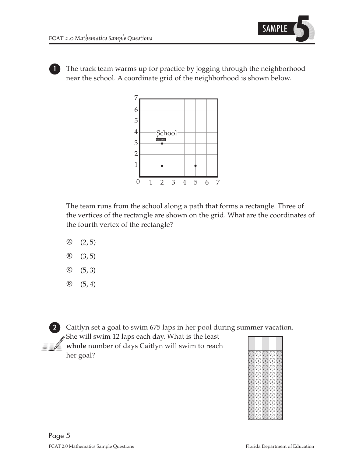

**1** The track team warms up for practice by jogging through the neighborhood near the school. A coordinate grid of the neighborhood is shown below.



The team runs from the school along a path that forms a rectangle. Three of the vertices of the rectangle are shown on the grid. What are the coordinates of the fourth vertex of the rectangle?

- $\odot$   $(2, 5)$
- $\circledcirc$  (3,5)
- $\circledcirc$  (5, 3)
- $\circledcirc$  (5,4)



**2** Caitlyn set a goal to swim 675 laps in her pool during summer vacation.  $\mathcal S$  She will swim 12 laps each day. What is the least

**whole** number of days Caitlyn will swim to reach her goal?  $\odot$ 

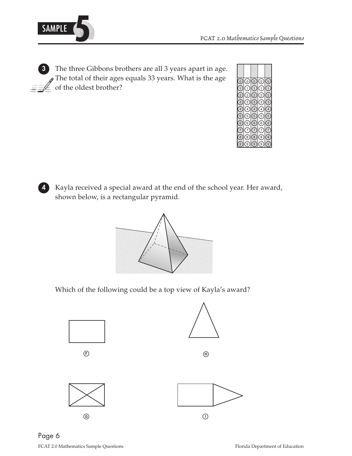

**3** The three Gibbons brothers are all 3 years apart in age.  $\mathcal S$  The total of their ages equals 33 years. What is the age of the oldest brother?<br>  $\bullet$  of the oldest brother?



**4** Kayla received a special award at the end of the school year. Her award, shown below, is a rectangular pyramid.



Which of the following could be a top view of Kayla's award?



 $\odot$ 







 $\odot$ 



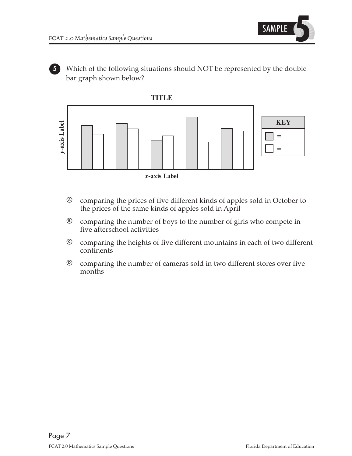

**5** Which of the following situations should NOT be represented by the double bar graph shown below?



- A comparing the prices of five different kinds of apples sold in October to the prices of the same kinds of apples sold in April
- B comparing the number of boys to the number of girls who compete in five afterschool activities
- C comparing the heights of five different mountains in each of two different continents
- D comparing the number of cameras sold in two different stores over five months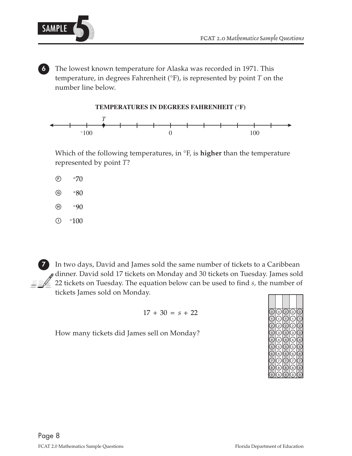

**6** The lowest known temperature for Alaska was recorded in 1971. This temperature, in degrees Fahrenheit (°F), is represented by point *T* on the number line below.



Which of the following temperatures, in °F, is **higher** than the temperature represented by point *T*?

- $-70$  $(F)$
- $\circledcirc$  $-80$
- $\textcircled{\scriptsize{H}}$  $-90$
- $\circ$  $-100$

**7** In two days, David and James sold the same number of tickets to a Caribbean dinner. David sold 17 tickets on Monday and 30 tickets on Tuesday. James sold 22 tickets on Tuesday. The equation below can be used to find *s,* the number of tickets James sold on Monday.

$$
17 + 30 = s + 22
$$

How many tickets did James sell on Monday?

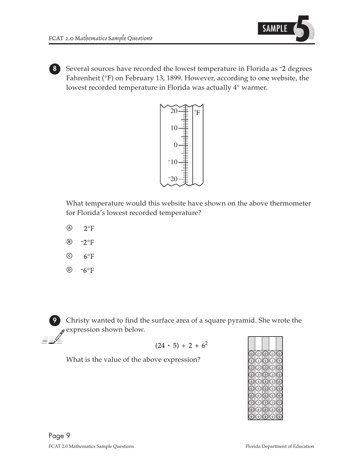

**8** Several sources have recorded the lowest temperature in Florida as -2 degrees Fahrenheit (°F) on February 13, 1899. However, according to one website, the lowest recorded temperature in Florida was actually 4° warmer.



What temperature would this website have shown on the above thermometer for Florida's lowest recorded temperature?

- $^{\circledR}$  $2^{\circ}F$
- $(B)$  $-2$ °F
- $\odot$  $6^{\circ}F$
- $\circledR$  $-6^{\circ}$ F

**9** Christy wanted to find the surface area of a square pyramid. She wrote the expression shown below.

$$
(24 \cdot 5) \div 2 + 6^2
$$

What is the value of the above expression?

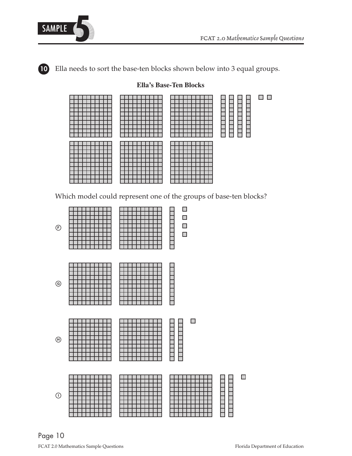

**10** Ella needs to sort the base-ten blocks shown below into 3 equal groups.

## $\Box$   $\Box$ 11111111 <u>s a serie d</u> **THE PLAN**

Which model could represent one of the groups of base-ten blocks?



Page 10 and 20 metas.<br>Page 10 Florida Department of Education<br>Florida Department of Education

#### **Ella's Base-Ten Blocks**

 $\Box$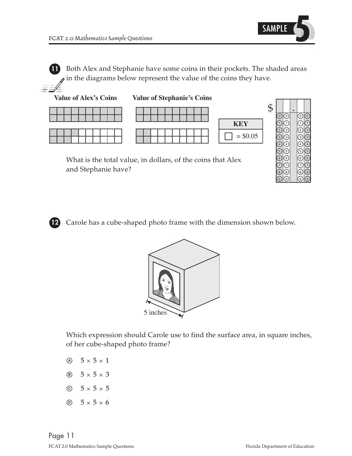

 $\circledcirc$  $\circledcirc$ 

 $\circledcirc$  $\circledcirc$   $\circledcirc$  $\circledcirc$ 

 $\circledcirc$  $\odot$ 

7 8 9

7 8 9

7 8 9

7 8 9

**11** Both Alex and Stephanie have some coins in their pockets. The shaded areas  $\gamma$  in the diagrams below represent the value of the coins they have.



and Stephanie have?

**12** Carole has a cube-shaped photo frame with the dimension shown below.



Which expression should Carole use to find the surface area, in square inches, of her cube-shaped photo frame?

- $\varnothing$  5  $\times$  5  $\times$  1
- $\circledcirc$  5 × 5 × 3
- $\odot$  5  $\times$  5  $\times$  5
- $\circledcirc$  5 × 5 × 6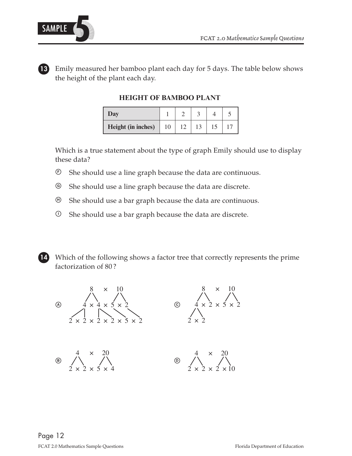



**13** Emily measured her bamboo plant each day for 5 days. The table below shows the height of the plant each day.

**HEIGHT OF BAMBOO PLANT** 

| Day                |    |  |  |
|--------------------|----|--|--|
| Height (in inches) | 10 |  |  |

Which is a true statement about the type of graph Emily should use to display these data?

- F She should use a line graph because the data are continuous.
- G She should use a line graph because the data are discrete.
- $\Theta$  She should use a bar graph because the data are continuous.
- $\odot$  She should use a bar graph because the data are discrete.



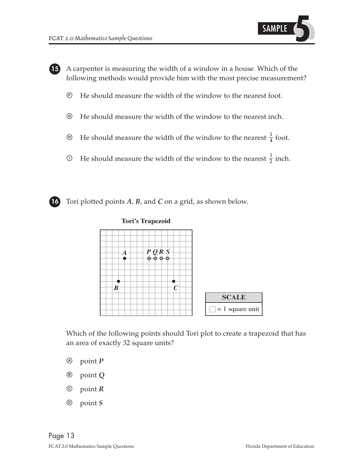

**15** A carpenter is measuring the width of a window in a house. Which of the following methods would provide him with the most precise measurement?

- F He should measure the width of the window to the nearest foot.
- G He should measure the width of the window to the nearest inch.
- $\Theta$  He should measure the width of the window to the nearest  $\frac{1}{4}$  foot.
- $\Phi$  He should measure the width of the window to the nearest  $\frac{1}{2}$  inch.



**16** Tori plotted points *A*, *B*, and *C* on a grid, as shown below.





Which of the following points should Tori plot to create a trapezoid that has an area of exactly 32 square units?

- A point *P*
- B point *Q*
- C point *R*
- D point *S*

Page 13 and 2.0 Mathematics Sample Questions **FCAT 2.0 Mathematics Sample Questions** Florida Department of Education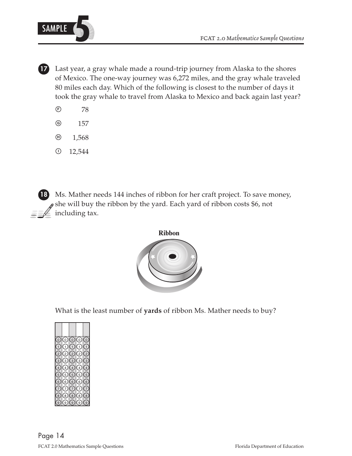

**17** Last year, a gray whale made a round-trip journey from Alaska to the shores of Mexico. The one-way journey was 6,272 miles, and the gray whale traveled 80 miles each day. Which of the following is closest to the number of days it took the gray whale to travel from Alaska to Mexico and back again last year?

- F 78
- G 157
- $\Theta$  1,568
- $0$  12,544

**18** Ms. Mather needs 144 inches of ribbon for her craft project. To save money,  $s$  she will buy the ribbon by the yard. Each yard of ribbon costs \$6, not  $\mathcal{I} \neq \mathcal{I}$  including tax.



What is the least number of **yards** of ribbon Ms. Mather needs to buy?

| $\left( 0\right)$                                       | ⊚                       | ⊙                                                                | ⊚                       | (o`                                                   |
|---------------------------------------------------------|-------------------------|------------------------------------------------------------------|-------------------------|-------------------------------------------------------|
| $\overline{1}$<br>$\overline{2}$<br>3<br>$\overline{4}$ | (1<br>(2)<br>(ဒ)<br>〔4  | $\zeta_1$<br>$\binom{2}{2}$<br>$\left(3\right)$<br>$\frac{1}{4}$ | (1)<br>(2)<br>(3)<br>【4 | $\left( 2\right)$<br>$\overline{3}$<br>$\overline{4}$ |
| 5<br>6<br>8                                             | (5<br>(6)<br>໌8)<br>َ 9 | (5<br>6)<br>6)<br>[ g                                            | (5<br>(6)<br>໌8)<br>9 َ | 5<br>6<br>8<br>ċ                                      |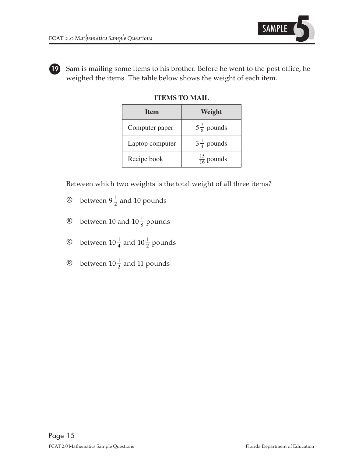

**19** Sam is mailing some items to his brother. Before he went to the post office, he weighed the items. The table below shows the weight of each item.

| <b>Item</b>     | Weight                 |  |  |
|-----------------|------------------------|--|--|
| Computer paper  | $5\frac{7}{8}$ pounds  |  |  |
| Laptop computer | $3\frac{1}{4}$ pounds  |  |  |
| Recipe book     | $\frac{15}{16}$ pounds |  |  |

**ITEMS TO MAIL** 

Between which two weights is the total weight of all three items?

- $\circledA$  between  $9\frac{1}{2}$  and 10 pounds
- $\circledast$  between 10 and 10 $\frac{1}{8}$  pounds
- $\circledcirc$  between  $10\frac{1}{4}$  and  $10\frac{1}{2}$  pounds
- $\circledcirc$  between 10 $\frac{1}{2}$  and 11 pounds